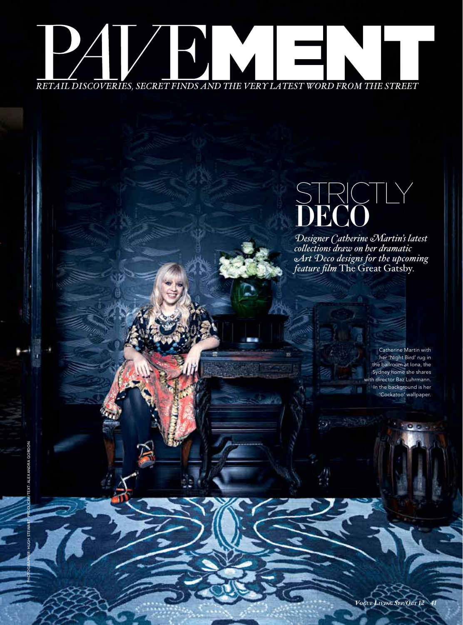

Photographer: hugh stewart Producer/Text: alexandra gordon

EXT: ALEXANDRA GORDOI

## strictly DRC

*Designer Catherine Martin's latest collections draw on her dramatic Art Deco designs for the upcoming feature film* The Great Gatsby*.*

> Catherine Martin with her 'Night Bird' rug in the ballroom at Iona, the Sydney home she shares with director Baz Luhrmann. In the background is her 'Cockatoo' wallpaper.

*Vogue L i ving Sep/Oct 12 41*